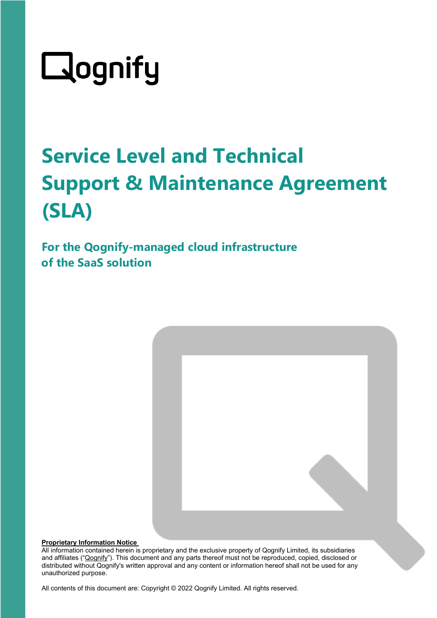# Qognify

## **Service Level and Technical Support & Maintenance Agreement (SLA)**

**For the Qognify-managed cloud infrastructure of the SaaS solution** 



#### **Proprietary Information Notice**

All information contained herein is proprietary and the exclusive property of Qognify Limited, its subsidiaries and affiliates ("Qognify"). This document and any parts thereof must not be reproduced, copied, disclosed or distributed without Qognify's written approval and any content or information hereof shall not be used for any unauthorized purpose.

All contents of this document are: Copyright © 2022 Qognify Limited. All rights reserved.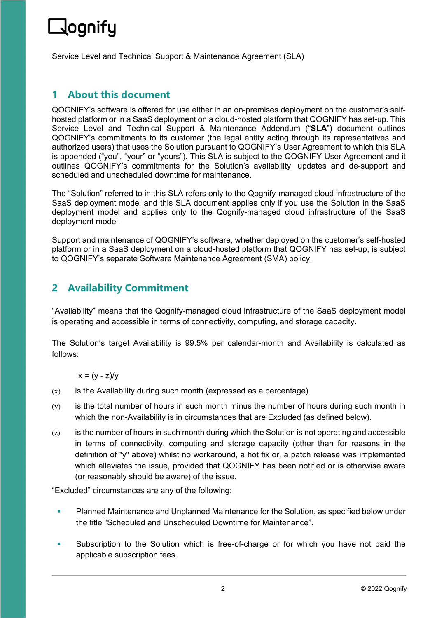### <u> J</u>ognify

Service Level and Technical Support & Maintenance Agreement (SLA)

#### **1 About this document**

QOGNIFY's software is offered for use either in an on-premises deployment on the customer's selfhosted platform or in a SaaS deployment on a cloud-hosted platform that QOGNIFY has set-up. This Service Level and Technical Support & Maintenance Addendum ("**SLA**") document outlines QOGNIFY's commitments to its customer (the legal entity acting through its representatives and authorized users) that uses the Solution pursuant to QOGNIFY's User Agreement to which this SLA is appended ("you", "your" or "yours"). This SLA is subject to the QOGNIFY User Agreement and it outlines QOGNIFY's commitments for the Solution's availability, updates and de-support and scheduled and unscheduled downtime for maintenance.

The "Solution" referred to in this SLA refers only to the Qognify-managed cloud infrastructure of the SaaS deployment model and this SLA document applies only if you use the Solution in the SaaS deployment model and applies only to the Qognify-managed cloud infrastructure of the SaaS deployment model.

Support and maintenance of QOGNIFY's software, whether deployed on the customer's self-hosted platform or in a SaaS deployment on a cloud-hosted platform that QOGNIFY has set-up, is subject to QOGNIFY's separate Software Maintenance Agreement (SMA) policy.

#### **2 Availability Commitment**

"Availability" means that the Qognify-managed cloud infrastructure of the SaaS deployment model is operating and accessible in terms of connectivity, computing, and storage capacity.

The Solution's target Availability is 99.5% per calendar-month and Availability is calculated as follows:

 $x = (y - z)/y$ 

- $(x)$  is the Availability during such month (expressed as a percentage)
- (y) is the total number of hours in such month minus the number of hours during such month in which the non-Availability is in circumstances that are Excluded (as defined below).
- $(z)$  is the number of hours in such month during which the Solution is not operating and accessible in terms of connectivity, computing and storage capacity (other than for reasons in the definition of "y" above) whilst no workaround, a hot fix or, a patch release was implemented which alleviates the issue, provided that QOGNIFY has been notified or is otherwise aware (or reasonably should be aware) of the issue.

"Excluded" circumstances are any of the following:

- **Planned Maintenance and Unplanned Maintenance for the Solution, as specified below under** the title "Scheduled and Unscheduled Downtime for Maintenance".
- Subscription to the Solution which is free-of-charge or for which you have not paid the applicable subscription fees.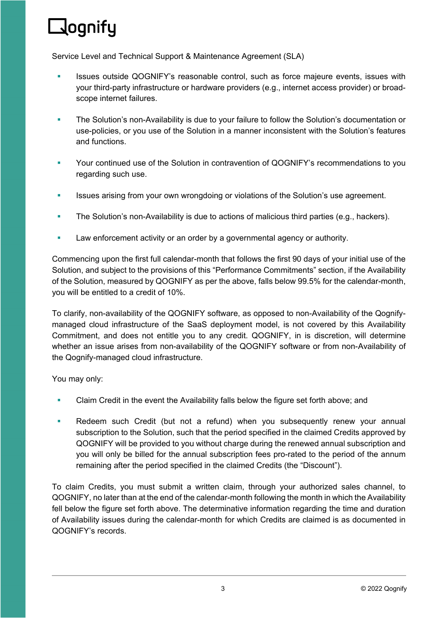### **R**ognify

Service Level and Technical Support & Maintenance Agreement (SLA)

- Issues outside QOGNIFY's reasonable control, such as force majeure events, issues with your third-party infrastructure or hardware providers (e.g., internet access provider) or broadscope internet failures.
- The Solution's non-Availability is due to your failure to follow the Solution's documentation or use-policies, or you use of the Solution in a manner inconsistent with the Solution's features and functions.
- Your continued use of the Solution in contravention of QOGNIFY's recommendations to you regarding such use.
- **ISSUES ARIST 2018 ISSUES ARISE 2018 ISSUES** 15 ISSUES are interested in the Solution's use agreement.
- The Solution's non-Availability is due to actions of malicious third parties (e.g., hackers).
- **Law enforcement activity or an order by a governmental agency or authority.**

Commencing upon the first full calendar-month that follows the first 90 days of your initial use of the Solution, and subject to the provisions of this "Performance Commitments" section, if the Availability of the Solution, measured by QOGNIFY as per the above, falls below 99.5% for the calendar-month, you will be entitled to a credit of 10%.

To clarify, non-availability of the QOGNIFY software, as opposed to non-Availability of the Qognifymanaged cloud infrastructure of the SaaS deployment model, is not covered by this Availability Commitment, and does not entitle you to any credit. QOGNIFY, in is discretion, will determine whether an issue arises from non-availability of the QOGNIFY software or from non-Availability of the Qognify-managed cloud infrastructure.

You may only:

- Claim Credit in the event the Availability falls below the figure set forth above; and
- **Redeem such Credit (but not a refund) when you subsequently renew your annual** subscription to the Solution, such that the period specified in the claimed Credits approved by QOGNIFY will be provided to you without charge during the renewed annual subscription and you will only be billed for the annual subscription fees pro-rated to the period of the annum remaining after the period specified in the claimed Credits (the "Discount").

To claim Credits, you must submit a written claim, through your authorized sales channel, to QOGNIFY, no later than at the end of the calendar-month following the month in which the Availability fell below the figure set forth above. The determinative information regarding the time and duration of Availability issues during the calendar-month for which Credits are claimed is as documented in QOGNIFY's records.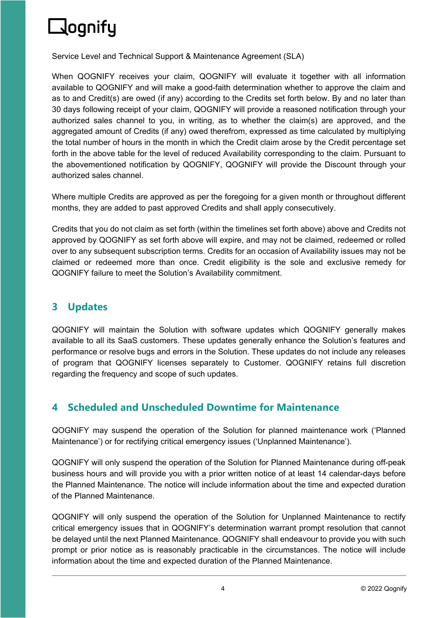### $\Box$ ognify

Service Level and Technical Support & Maintenance Agreement (SLA)

When QOGNIFY receives your claim, QOGNIFY will evaluate it together with all information available to QOGNIFY and will make a good-faith determination whether to approve the claim and as to and Credit(s) are owed (if any) according to the Credits set forth below. By and no later than 30 days following receipt of your claim, QOGNIFY will provide a reasoned notification through your authorized sales channel to you, in writing, as to whether the claim(s) are approved, and the aggregated amount of Credits (if any) owed therefrom, expressed as time calculated by multiplying the total number of hours in the month in which the Credit claim arose by the Credit percentage set forth in the above table for the level of reduced Availability corresponding to the claim. Pursuant to the abovementioned notification by QOGNIFY, QOGNIFY will provide the Discount through your authorized sales channel.

Where multiple Credits are approved as per the foregoing for a given month or throughout different months, they are added to past approved Credits and shall apply consecutively.

Credits that you do not claim as set forth (within the timelines set forth above) above and Credits not approved by QOGNIFY as set forth above will expire, and may not be claimed, redeemed or rolled over to any subsequent subscription terms. Credits for an occasion of Availability issues may not be claimed or redeemed more than once. Credit eligibility is the sole and exclusive remedy for QOGNIFY failure to meet the Solution's Availability commitment.

#### **3 Updates**

QOGNIFY will maintain the Solution with software updates which QOGNIFY generally makes available to all its SaaS customers. These updates generally enhance the Solution's features and performance or resolve bugs and errors in the Solution. These updates do not include any releases of program that QOGNIFY licenses separately to Customer. QOGNIFY retains full discretion regarding the frequency and scope of such updates.

#### **4 Scheduled and Unscheduled Downtime for Maintenance**

QOGNIFY may suspend the operation of the Solution for planned maintenance work ('Planned Maintenance') or for rectifying critical emergency issues ('Unplanned Maintenance').

QOGNIFY will only suspend the operation of the Solution for Planned Maintenance during off-peak business hours and will provide you with a prior written notice of at least 14 calendar-days before the Planned Maintenance. The notice will include information about the time and expected duration of the Planned Maintenance.

QOGNIFY will only suspend the operation of the Solution for Unplanned Maintenance to rectify critical emergency issues that in QOGNIFY's determination warrant prompt resolution that cannot be delayed until the next Planned Maintenance. QOGNIFY shall endeavour to provide you with such prompt or prior notice as is reasonably practicable in the circumstances. The notice will include information about the time and expected duration of the Planned Maintenance.